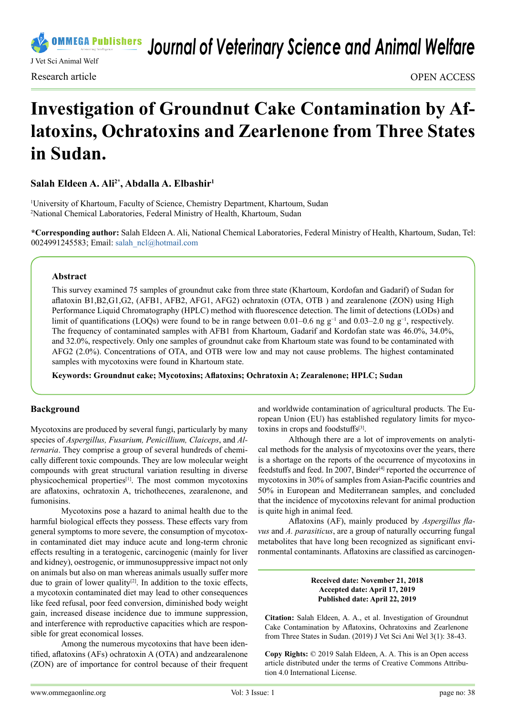

*Journal of Veterinary Science and Animal Welfare*

# **Investigation of Groundnut Cake Contamination by Aflatoxins, Ochratoxins and Zearlenone from Three States in Sudan.**

# **Salah Eldeen A. Ali2\*, Abdalla A. Elbashir1**

1 University of Khartoum, Faculty of Science, Chemistry Department, Khartoum, Sudan 2 National Chemical Laboratories, Federal Ministry of Health, Khartoum, Sudan

**\*Corresponding author:** Salah Eldeen A. Ali, National Chemical Laboratories, Federal Ministry of Health, Khartoum, Sudan, Tel: 0024991245583; Email: [salah\\_ncl@hotmail.com](mailto:salah_ncl%40hotmail.com?subject=)

#### **Abstract**

This survey examined 75 samples of groundnut cake from three state (Khartoum, Kordofan and Gadarif) of Sudan for aflatoxin B1,B2,G1,G2, (AFB1, AFB2, AFG1, AFG2) ochratoxin (OTA, OTB ) and zearalenone (ZON) using High Performance Liquid Chromatography (HPLC) method with fluorescence detection. The limit of detections (LODs) and limit of quantifications (LOQs) were found to be in range between 0.01–0.6 ng g<sup>-1</sup> and 0.03–2.0 ng g<sup>-1</sup>, respectively. The frequency of contaminated samples with AFB1 from Khartoum, Gadarif and Kordofan state was 46.0%, 34.0%, and 32.0%, respectively. Only one samples of groundnut cake from Khartoum state was found to be contaminated with AFG2 (2.0%). Concentrations of OTA, and OTB were low and may not cause problems. The highest contaminated samples with mycotoxins were found in Khartoum state.

**Keywords: Groundnut cake; Mycotoxins; Aflatoxins; Ochratoxin A; Zearalenone; HPLC; Sudan**

### **Background**

Mycotoxins are produced by several fungi, particularly by many species of *Aspergillus, Fusarium, Penicillium, Claiceps*, and *Alternaria*. They comprise a group of several hundreds of chemically different toxic compounds. They are low molecular weight compounds with great structural variation resulting in diverse physicochemical properties[\[1\]](#page-3-0). The most common mycotoxins are aflatoxins, ochratoxin A, trichothecenes, zearalenone, and fumonisins.

Mycotoxins pose a hazard to animal health due to the harmful biological effects they possess. These effects vary from general symptoms to more severe, the consumption of mycotoxin contaminated diet may induce acute and long-term chronic effects resulting in a teratogenic, carcinogenic (mainly for liver and kidney), oestrogenic, or immunosuppressive impact not only on animals but also on man whereas animals usually suffer more due to grain of lower quality $[2]$ . In addition to the toxic effects, a mycotoxin contaminated diet may lead to other consequences like feed refusal, poor feed conversion, diminished body weight gain, increased disease incidence due to immune suppression, and interference with reproductive capacities which are responsible for great economical losses.

Among the numerous mycotoxins that have been identified, aflatoxins (AFs) ochratoxin A (OTA) and andzearalenone (ZON) are of importance for control because of their frequent and worldwide contamination of agricultural products. The European Union (EU) has established regulatory limits for myco-toxins in crops and foodstuffs<sup>[\[3\]](#page-3-2)</sup>.

Although there are a lot of improvements on analytical methods for the analysis of mycotoxins over the years, there is a shortage on the reports of the occurrence of mycotoxins in feedstuffs and feed. In 2007, Binder<sup>[4]</sup> reported the occurrence of mycotoxins in 30% of samples from Asian-Pacific countries and 50% in European and Mediterranean samples, and concluded that the incidence of mycotoxins relevant for animal production is quite high in animal feed.

Aflatoxins (AF), mainly produced by *Aspergillus flavus* and *A. parasiticus*, are a group of naturally occurring fungal metabolites that have long been recognized as significant environmental contaminants. Aflatoxins are classified as carcinogen-

#### **Received date: November 21, 2018 Accepted date: April 17, 2019 Published date: April 22, 2019**

**Citation:** Salah Eldeen, A. A., et al. Investigation of Groundnut Cake Contamination by Aflatoxins, Ochratoxins and Zearlenone from Three States in Sudan. (2019) J Vet Sci Ani Wel 3(1): 38-43.

**Copy Rights:** © 2019 Salah Eldeen, A. A. This is an Open access article distributed under the terms of Creative Commons Attribution 4.0 International License.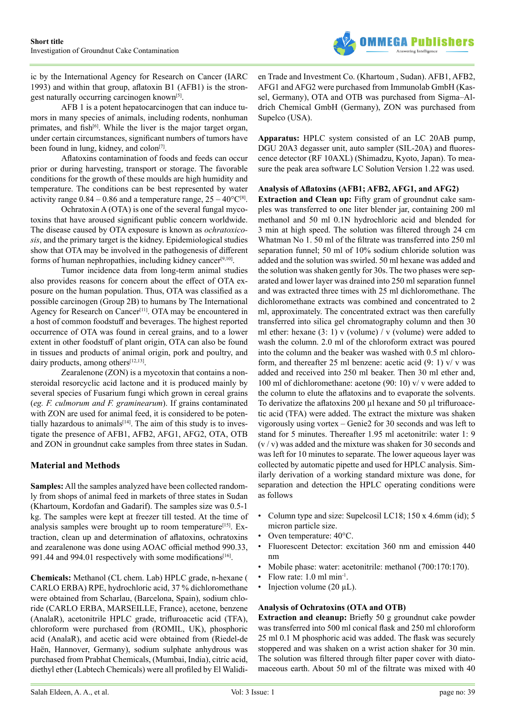

ic by the International Agency for Research on Cancer (IARC 1993) and within that group, aflatoxin B1 (AFB1) is the strongest naturally occurring carcinogen know[n\[5\]](#page-3-4).

AFB 1 is a potent hepatocarcinogen that can induce tumors in many species of animals, including rodents, nonhuman primates, and fish<sup>[6]</sup>. While the liver is the major target organ, under certain circumstances, significant numbers of tumors have been found in lung, kidney, and colon<sup>[\[7\]](#page-4-1)</sup>.

Aflatoxins contamination of foods and feeds can occur prior or during harvesting, transport or storage. The favorable conditions for the growth of these moulds are high humidity and temperature. The conditions can be best represented by water activity range  $0.84 - 0.86$  and a temperature range,  $25 - 40^{\circ}C^{[8]}$ .

Ochratoxin A (OTA) is one of the several fungal mycotoxins that have aroused significant public concern worldwide. The disease caused by OTA exposure is known as *ochratoxicosis*, and the primary target is the kidney. Epidemiological studies show that OTA may be involved in the pathogenesis of different forms of human nephropathies, including kidney cancer<sup>[9,10]</sup>.

Tumor incidence data from long-term animal studies also provides reasons for concern about the effect of OTA exposure on the human population. Thus, OTA was classified as a possible carcinogen (Group 2B) to humans by The International Agency for Research on Cancer<sup>[\[11\]](#page-4-4)</sup>. OTA may be encountered in a host of common foodstuff and beverages. The highest reported occurrence of OTA was found in cereal grains, and to a lower extent in other foodstuff of plant origin, OTA can also be found in tissues and products of animal origin, pork and poultry, and dairy products, among others<sup>[\[12,13\]](#page-4-5)</sup>.

Zearalenone (ZON) is a mycotoxin that contains a nonsteroidal resorcyclic acid lactone and it is produced mainly by several species of Fusarium fungi which grown in cereal grains (*eg. F. culmorum and F. graminearum*). If grains contaminated with ZON are used for animal feed, it is considered to be potentially hazardous to animals $[14]$ . The aim of this study is to investigate the presence of AFB1, AFB2, AFG1, AFG2, OTA, OTB and ZON in groundnut cake samples from three states in Sudan.

# **Material and Methods**

**Samples:** All the samples analyzed have been collected randomly from shops of animal feed in markets of three states in Sudan (Khartoum, Kordofan and Gadarif). The samples size was 0.5-1 kg. The samples were kept at freezer till tested. At the time of analysis samples were brought up to room temperature<sup>[\[15\]](#page-4-7)</sup>. Extraction, clean up and determination of aflatoxins, ochratoxins and zearalenone was done using AOAC official method 990.33, 991.44 and 994.01 respectively with some modifications<sup>[16]</sup>.

**Chemicals:** Methanol (CL chem. Lab) HPLC grade, n-hexane ( CARLO ERBA) RPE, hydrochloric acid, 37 % dichloromethane were obtained from Scharlau, (Barcelona, Spain), sodium chloride (CARLO ERBA, MARSEILLE, France), acetone, benzene (AnalaR), acetonitrile HPLC grade, trifluroacetic acid (TFA), chloroform were purchased from (ROMIL, UK), phosphoric acid (AnalaR), and acetic acid were obtained from (Riedel-de Haën, Hannover, Germany), sodium sulphate anhydrous was purchased from Prabhat Chemicals, (Mumbai, India), citric acid, diethyl ether (Labtech Chemicals) were all profiled by El Walidien Trade and Investment Co. (Khartoum , Sudan). AFB1, AFB2, AFG1 and AFG2 were purchased from Immunolab GmbH (Kassel, Germany), OTA and OTB was purchased from Sigma–Aldrich Chemical GmbH (Germany), ZON was purchased from Supelco (USA).

**Apparatus:** HPLC system consisted of an LC 20AB pump, DGU 20A3 degasser unit, auto sampler (SIL-20A) and fluorescence detector (RF 10AXL) (Shimadzu, Kyoto, Japan). To measure the peak area software LC Solution Version 1.22 was used.

#### **Analysis of Aflatoxins (AFB1; AFB2, AFG1, and AFG2)**

**Extraction and Clean up:** Fifty gram of groundnut cake samples was transferred to one liter blender jar, containing 200 ml methanol and 50 ml 0.1N hydrochloric acid and blended for 3 min at high speed. The solution was filtered through 24 cm Whatman No 1. 50 ml of the filtrate was transferred into 250 ml separation funnel; 50 ml of 10% sodium chloride solution was added and the solution was swirled. 50 ml hexane was added and the solution was shaken gently for 30s. The two phases were separated and lower layer was drained into 250 ml separation funnel and was extracted three times with 25 ml dichloromethane. The dichloromethane extracts was combined and concentrated to 2 ml, approximately. The concentrated extract was then carefully transferred into silica gel chromatography column and then 30 ml ether: hexane  $(3: 1)$  v (volume) / v (volume) were added to wash the column. 2.0 ml of the chloroform extract was poured into the column and the beaker was washed with 0.5 ml chloroform, and thereafter 25 ml benzene: acetic acid  $(9: 1)$  v/ v was added and received into 250 ml beaker. Then 30 ml ether and, 100 ml of dichloromethane: acetone (90: 10) v/ v were added to the column to elute the aflatoxins and to evaporate the solvents. To derivatize the aflatoxins 200 µl hexane and 50 µl trifluroacetic acid (TFA) were added. The extract the mixture was shaken vigorously using vortex – Genie2 for 30 seconds and was left to stand for 5 minutes. Thereafter 1.95 ml acetonitrile: water 1: 9  $(v / v)$  was added and the mixture was shaken for 30 seconds and was left for 10 minutes to separate. The lower aqueous layer was collected by automatic pipette and used for HPLC analysis. Similarly derivation of a working standard mixture was done, for separation and detection the HPLC operating conditions were as follows

- Column type and size: Supelcosil LC18; 150 x 4.6mm (id); 5 micron particle size.
- Oven temperature:  $40^{\circ}$ C.
- Fluorescent Detector: excitation 360 nm and emission 440 nm
- Mobile phase: water: acetonitrile: methanol (700:170:170).
- Flow rate: 1.0 ml min-1.
- Injection volume  $(20 \mu L)$ .

### **Analysis of Ochratoxins (OTA and OTB)**

**Extraction and cleanup:** Briefly 50 g groundnut cake powder was transferred into 500 ml conical flask and 250 ml chloroform 25 ml 0.1 M phosphoric acid was added. The flask was securely stoppered and was shaken on a wrist action shaker for 30 min. The solution was filtered through filter paper cover with diatomaceous earth. About 50 ml of the filtrate was mixed with 40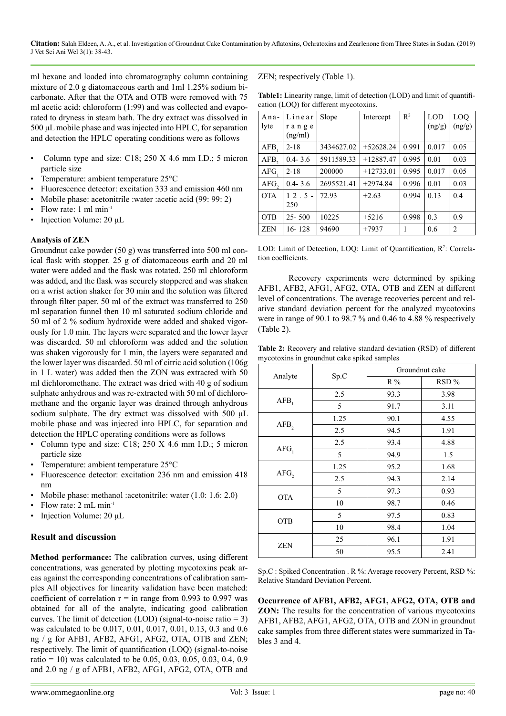**Citation:** Salah Eldeen, A. A., et al. Investigation of Groundnut Cake Contamination by Aflatoxins, Ochratoxins and Zearlenone from Three States in Sudan. (2019) J Vet Sci Ani Wel 3(1): 38-43.

ml hexane and loaded into chromatography column containing mixture of 2.0 g diatomaceous earth and 1ml 1.25% sodium bicarbonate. After that the OTA and OTB were removed with 75 ml acetic acid: chloroform (1:99) and was collected and evaporated to dryness in steam bath. The dry extract was dissolved in 500 μL mobile phase and was injected into HPLC, for separation and detection the HPLC operating conditions were as follows

- Column type and size: C18; 250 X 4.6 mm I.D.; 5 micron particle size
- Temperature: ambient temperature 25°C
- Fluorescence detector: excitation 333 and emission 460 nm
- Mobile phase: acetonitrile :water :acetic acid (99: 99: 2)
- Flow rate: 1 ml min-1
- Injection Volume: 20 μL

#### **Analysis of ZEN**

Groundnut cake powder (50 g) was transferred into 500 ml conical flask with stopper. 25 g of diatomaceous earth and 20 ml water were added and the flask was rotated. 250 ml chloroform was added, and the flask was securely stoppered and was shaken on a wrist action shaker for 30 min and the solution was filtered through filter paper. 50 ml of the extract was transferred to 250 ml separation funnel then 10 ml saturated sodium chloride and 50 ml of 2 % sodium hydroxide were added and shaked vigorously for 1.0 min. The layers were separated and the lower layer was discarded. 50 ml chloroform was added and the solution was shaken vigorously for 1 min, the layers were separated and the lower layer was discarded. 50 ml of citric acid solution (106g in 1 L water) was added then the ZON was extracted with 50 ml dichloromethane. The extract was dried with 40 g of sodium sulphate anhydrous and was re-extracted with 50 ml of dichloromethane and the organic layer was drained through anhydrous sodium sulphate. The dry extract was dissolved with 500 μL mobile phase and was injected into HPLC, for separation and detection the HPLC operating conditions were as follows

- Column type and size: C18; 250 X 4.6 mm I.D.; 5 micron particle size
- Temperature: ambient temperature 25°C
- Fluorescence detector: excitation 236 nm and emission 418 nm
- Mobile phase: methanol :acetonitrile: water (1.0: 1.6: 2.0)
- Flow rate: 2 mL min-1
- Injection Volume: 20 μL

### **Result and discussion**

**Method performance:** The calibration curves, using different concentrations, was generated by plotting mycotoxins peak areas against the corresponding concentrations of calibration samples All objectives for linearity validation have been matched: coefficient of correlation  $r = in$  range from 0.993 to 0.997 was obtained for all of the analyte, indicating good calibration curves. The limit of detection (LOD) (signal-to-noise ratio  $= 3$ ) was calculated to be 0.017, 0.01, 0.017, 0.01, 0.13, 0.3 and 0.6 ng / g for AFB1, AFB2, AFG1, AFG2, OTA, OTB and ZEN; respectively. The limit of quantification (LOQ) (signal-to-noise ratio = 10) was calculated to be 0.05, 0.03, 0.05, 0.03, 0.4, 0.9 and 2.0 ng / g of AFB1, AFB2, AFG1, AFG2, OTA, OTB and

ZEN; respectively (Table 1).

**Table1:** Linearity range, limit of detection (LOD) and limit of quantification (LOQ) for different mycotoxins.

| Ana-             | Linear           | Slope      | Intercept   | $\mathbb{R}^2$ | <b>LOD</b> | LOO            |
|------------------|------------------|------------|-------------|----------------|------------|----------------|
| lyte             | range<br>(ng/ml) |            |             |                | (ng/g)     | (ng/g)         |
| AFB.             | $2 - 18$         | 3434627.02 | $+52628.24$ | 0.991          | 0.017      | 0.05           |
| AFB <sub>2</sub> | $0.4 - 3.6$      | 5911589.33 | $+12887.47$ | 0.995          | 0.01       | 0.03           |
| AFG.             | $2 - 18$         | 200000     | $+12733.01$ | 0.995          | 0.017      | 0.05           |
| AFG,             | $0.4 - 3.6$      | 2695521.41 | $+2974.84$  | 0.996          | 0.01       | 0.03           |
| <b>OTA</b>       | $12.5 -$         | 72.93      | $+2.63$     | 0.994          | 0.13       | 0.4            |
|                  | 250              |            |             |                |            |                |
| <b>OTB</b>       | $25 - 500$       | 10225      | $+5216$     | 0.998          | 0.3        | 0.9            |
| <b>ZEN</b>       | 16-128           | 94690      | $+7937$     | 1              | 0.6        | $\overline{2}$ |

LOD: Limit of Detection, LOQ: Limit of Quantification, R<sup>2</sup>: Correlation coefficients.

Recovery experiments were determined by spiking AFB1, AFB2, AFG1, AFG2, OTA, OTB and ZEN at different level of concentrations. The average recoveries percent and relative standard deviation percent for the analyzed mycotoxins were in range of 90.1 to 98.7 % and 0.46 to 4.88 % respectively (Table 2).

**Table 2:** Recovery and relative standard deviation (RSD) of different mycotoxins in groundnut cake spiked samples

|            |      | Groundnut cake |      |  |
|------------|------|----------------|------|--|
| Analyte    | Sp.C | R%             | RSD% |  |
|            | 2.5  | 93.3           | 3.98 |  |
| $AFB$ ,    | 5    | 91.7           | 3.11 |  |
|            | 1.25 | 90.1           | 4.55 |  |
| $AFB$ ,    | 2.5  | 94.5           | 1.91 |  |
|            | 2.5  | 93.4           | 4.88 |  |
| $AFG_1$    | 5    | 94.9           | 1.5  |  |
|            | 1.25 | 95.2           | 1.68 |  |
| AFG,       | 2.5  | 94.3           | 2.14 |  |
|            | 5    | 97.3           | 0.93 |  |
| <b>OTA</b> | 10   | 98.7           | 0.46 |  |
|            | 5    | 97.5           | 0.83 |  |
| OTB        | 10   | 98.4           | 1.04 |  |
|            | 25   | 96.1           | 1.91 |  |
| ZEN        | 50   | 95.5           | 2.41 |  |

Sp.C : Spiked Concentration . R %: Average recovery Percent, RSD %: Relative Standard Deviation Percent.

**Occurrence of AFB1, AFB2, AFG1, AFG2, OTA, OTB and ZON:** The results for the concentration of various mycotoxins AFB1, AFB2, AFG1, AFG2, OTA, OTB and ZON in groundnut cake samples from three different states were summarized in Tables 3 and 4.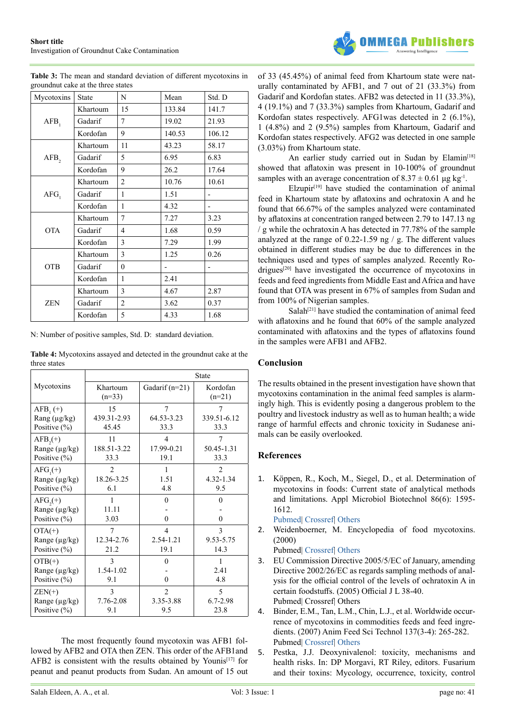

|                                     | <b>Table 3:</b> The mean and standard deviation of different mycotoxins in |
|-------------------------------------|----------------------------------------------------------------------------|
| ground nut cake at the three states |                                                                            |

| Mycotoxins       | <b>State</b> | N              | Mean   | Std. D |
|------------------|--------------|----------------|--------|--------|
| AFB <sub>1</sub> | Khartoum     | 15             | 133.84 | 141.7  |
|                  | Gadarif      | 7              | 19.02  | 21.93  |
|                  | Kordofan     | 9              | 140.53 | 106.12 |
| $AFB$ ,          | Khartoum     | 11             | 43.23  | 58.17  |
|                  | Gadarif      | 5              | 6.95   | 6.83   |
|                  | Kordofan     | 9              | 26.2   | 17.64  |
| AFG              | Khartoum     | $\overline{c}$ | 10.76  | 10.61  |
|                  | Gadarif      | 1              | 1.51   |        |
|                  | Kordofan     | 1              | 4.32   |        |
| <b>OTA</b>       | Khartoum     | 7              | 7.27   | 3.23   |
|                  | Gadarif      | $\overline{4}$ | 1.68   | 0.59   |
|                  | Kordofan     | 3              | 7.29   | 1.99   |
| <b>OTB</b>       | Khartoum     | 3              | 1.25   | 0.26   |
|                  | Gadarif      | $\mathbf{0}$   |        |        |
|                  | Kordofan     | 1              | 2.41   |        |
|                  | Khartoum     | 3              | 4.67   | 2.87   |
| <b>ZEN</b>       | Gadarif      | 2              | 3.62   | 0.37   |
|                  | Kordofan     | 5              | 4.33   | 1.68   |

N: Number of positive samples, Std. D: standard deviation.

**Table 4:** Mycotoxins assayed and detected in the groundnut cake at the three states

|                                                    | <b>State</b>          |                         |                      |  |  |
|----------------------------------------------------|-----------------------|-------------------------|----------------------|--|--|
| Mycotoxins                                         | Khartoum<br>$(n=33)$  | Gadarif (n=21)          | Kordofan<br>$(n=21)$ |  |  |
| $AFB_1(+)$                                         | 15                    | $\overline{7}$          | 339.51-6.12          |  |  |
| Rang (µg/kg)                                       | 439.31-2.93           | 64.53-3.23              |                      |  |  |
| Positive $(\% )$                                   | 45.45                 | 33.3                    | 33.3                 |  |  |
| $AFB2(+)$                                          | 11                    | $\overline{4}$          | 7                    |  |  |
| Range (µg/kg)                                      | 188.51-3.22           | 17.99-0.21              | 50.45-1.31           |  |  |
| Positive $(\% )$                                   | 33.3                  | 19.1                    | 33.3                 |  |  |
| $AFG_1(+)$                                         | $\mathfrak{D}$        | 1                       | $\mathfrak{D}$       |  |  |
| Range (µg/kg)                                      | 18.26-3.25            | 1.51                    | 4.32-1.34            |  |  |
| Positive (%)                                       | 6.1                   | 4.8                     | 9.5                  |  |  |
| $AFG(+)$<br>Range (µg/kg)<br>Positive $(\% )$      | 1<br>11.11<br>3.03    | $\theta$<br>$\theta$    | 0<br>0               |  |  |
| $OTA(+)$                                           | 7                     | $\overline{\mathbf{4}}$ | 3                    |  |  |
| Range (µg/kg)                                      | 12.34-2.76            | 2.54-1.21               | 9.53-5.75            |  |  |
| Positive $(\% )$                                   | 21.2                  | 19.1                    | 14.3                 |  |  |
| $OTB(+)$<br>Range $(\mu g/kg)$<br>Positive $(\% )$ | 3<br>1.54-1.02<br>9.1 | $\theta$<br>0           | 1<br>2.41<br>4.8     |  |  |
| $ZEN(+)$                                           | $\mathcal{E}$         | $\mathfrak{D}$          | 5                    |  |  |
| Range (µg/kg)                                      | 7.76-2.08             | 3.35-3.88               | $6.7 - 2.98$         |  |  |
| Positive $(\% )$                                   | 9.1                   | 9.5                     | 23.8                 |  |  |

The most frequently found mycotoxin was AFB1 followed by AFB2 and OTA then ZEN. This order of the AFB1and AFB2 is consistent with the results obtained by Younis<sup>[17]</sup> for peanut and peanut products from Sudan. An amount of 15 out of 33 (45.45%) of animal feed from Khartoum state were naturally contaminated by AFB1, and 7 out of 21 (33.3%) from Gadarif and Kordofan states. AFB2 was detected in 11 (33.3%), 4 (19.1%) and 7 (33.3%) samples from Khartoum, Gadarif and Kordofan states respectively. AFG1was detected in 2 (6.1%), 1 (4.8%) and 2 (9.5%) samples from Khartoum, Gadarif and Kordofan states respectively. AFG2 was detected in one sample (3.03%) from Khartoum state.

An earlier study carried out in Sudan by Elamin<sup>[\[18\]](#page-4-10)</sup> showed that aflatoxin was present in 10-100% of groundnut samples with an average concentration of  $8.37 \pm 0.61$  µg kg<sup>-1</sup>.

 $E$ lzupir $[19]$  have studied the contamination of animal feed in Khartoum state by aflatoxins and ochratoxin A and he found that 66.67% of the samples analyzed were contaminated by aflatoxins at concentration ranged between 2.79 to 147.13 ng / g while the ochratoxin A has detected in 77.78% of the sample analyzed at the range of 0.22-1.59 ng / g. The different values obtained in different studies may be due to differences in the techniques used and types of samples analyzed. Recently Rodrigues<sup>[20]</sup> have investigated the occurrence of mycotoxins in feeds and feed ingredients from Middle East and Africa and have found that OTA was present in 67% of samples from Sudan and from 100% of Nigerian samples.

Salah<sup>[\[21\]](#page-4-13)</sup> have studied the contamination of animal feed with aflatoxins and he found that 60% of the sample analyzed contaminated with aflatoxins and the types of aflatoxins found in the samples were AFB1 and AFB2.

#### **Conclusion**

The results obtained in the present investigation have shown that mycotoxins contamination in the animal feed samples is alarmingly high. This is evidently posing a dangerous problem to the poultry and livestock industry as well as to human health; a wide range of harmful effects and chronic toxicity in Sudanese animals can be easily overlooked.

#### **References**

<span id="page-3-0"></span>1. Köppen, R., Koch, M., Siegel, D., et al. Determination of mycotoxins in foods: Current state of analytical methods and limitations. Appl Microbiol Biotechnol 86(6): 1595- 1612.

<span id="page-3-1"></span>[Pubmed](https://www.ncbi.nlm.nih.gov/pubmed/20339844)| [Crossref|](https://doi.org/10.1007/s00253-010-2535-1) [Others](https://link.springer.com/article/10.1007%2Fs00253-010-2535-1)

2. Weidenboerner, M. Encyclopedia of food mycotoxins. (2000)

<span id="page-3-2"></span>Pubmed| [Crossref|](http://dx.doi.org/10.1007/978-3-662-04464-3) [Others](https://www.springer.com/in/book/9783540675563)

- 3. EU Commission Directive 2005/5/EC of January, amending Directive 2002/26/EC as regards sampling methods of analysis for the official control of the levels of ochratoxin A in certain foodstuffs. (2005) Official J L 38-40. Pubmed| Crossref| Others
- <span id="page-3-3"></span>4. Binder, E.M., Tan, L.M., Chin, L.J., et al. Worldwide occurrence of mycotoxins in commodities feeds and feed ingredients. (2007) Anim Feed Sci Technol 137(3-4): 265-282. Pubmed| [Crossref|](https://doi.org/10.1016/j.anifeedsci.2007.06.005) [Others](https://www.sciencedirect.com/science/article/pii/S0377840107002192)
- <span id="page-3-4"></span>5. Pestka, J.J. Deoxynivalenol: toxicity, mechanisms and health risks. In: DP Morgavi, RT Riley, editors. Fusarium and their toxins: Mycology, occurrence, toxicity, control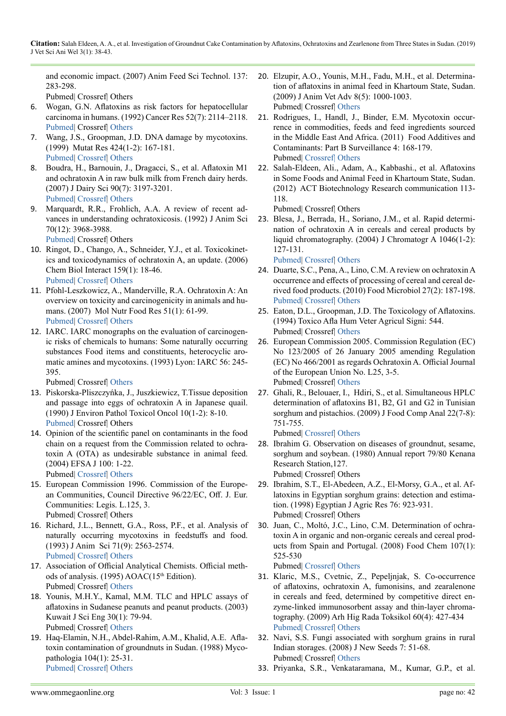and economic impact. (2007) Anim Feed Sci Technol. 137: 283-298.

<span id="page-4-0"></span>Pubmed| Crossref| Others

- 6. Wogan, G.N. Aflatoxins as risk factors for hepatocellular carcinoma in humans. (1992) Cancer Res 52(7): 2114–2118. [Pubmed|](https://www.ncbi.nlm.nih.gov/pubmed/1311989) Crossref| [Others](http://cancerres.aacrjournals.org/content/canres/52/7_Supplement/2114s.full.pdf)
- <span id="page-4-1"></span>7. Wang, J.S., Groopman, J.D. DNA damage by mycotoxins. (1999) Mutat Res 424(1-2): 167-181. [Pubmed|](https://www.ncbi.nlm.nih.gov/pubmed/10064859) [Crossref](https://doi.org/10.1016/S0027-5107(99)00017-2)| [Others](https://www.sciencedirect.com/science/article/pii/S0027510799000172)
- <span id="page-4-2"></span>8. Boudra, H., Barnouin, J., Dragacci, S., et al. Aflatoxin M1 and ochratoxin A in raw bulk milk from French dairy herds. (2007) J Dairy Sci 90(7): 3197-3201. [Pubmed|](https://www.ncbi.nlm.nih.gov/pubmed/17582102) [Crossref](https://doi.org/10.3168/jds.2006-565)| [Others](https://www.researchgate.net/publication/6255376_Aflatoxin_M1_and_Ochratoxin_A_in_Raw_Bulk_Milk_from_French_Dairy_Herds)
- <span id="page-4-3"></span>9. Marquardt, R.R., Frohlich, A.A. A review of recent advances in understanding ochratoxicosis. (1992) J Anim Sci 70(12): 3968-3988.

[Pubmed](https://www.ncbi.nlm.nih.gov/pubmed/1474034)| Crossref| Others

- 10. Ringot, D., Chango, A., Schneider, Y.J., et al. Toxicokinetics and toxicodynamics of ochratoxin A, an update. (2006) Chem Biol Interact 159(1): 18-46. [Pubmed|](https://www.ncbi.nlm.nih.gov/pubmed/16293235) [Crossref](https://doi.org/10.1016/j.cbi.2005.10.106)| [Others](https://www.sciencedirect.com/science/article/pii/S0009279705003479)
- <span id="page-4-4"></span>11. Pfohl-Leszkowicz, A., Manderville, R.A. Ochratoxin A: An overview on toxicity and carcinogenicity in animals and humans. (2007) Mol Nutr Food Res 51(1): 61-99. [Pubmed|](https://www.ncbi.nlm.nih.gov/pubmed/17195275) [Crossref](https://doi.org/10.1002/mnfr.200600137)| [Others](https://onlinelibrary.wiley.com/doi/abs/10.1002/mnfr.200600137)
- <span id="page-4-5"></span>12. IARC. IARC monographs on the evaluation of carcinogenic risks of chemicals to humans: Some naturally occurring substances Food items and constituents, heterocyclic aromatic amines and mycotoxins. (1993) Lyon: IARC 56: 245- 395.

Pubmed| Crossref| [Others](https://monographs.iarc.fr/wp-content/uploads/2018/06/mono56.pdf)

- 13. Piskorska-Pliszczyńka, J., Juszkiewicz, T.Tissue deposition and passage into eggs of ochratoxin A in Japanese quail. (1990) J Environ Pathol Toxicol Oncol 10(1-2): 8-10. [Pubmed](https://www.ncbi.nlm.nih.gov/pubmed/2231319)| Crossref| Others
- <span id="page-4-6"></span>14. Opinion of the scientific panel on contaminants in the food chain on a request from the Commission related to ochratoxin A (OTA) as undesirable substance in animal feed. (2004) EFSA J 100: 1-22.

<span id="page-4-7"></span>Pubmed| [Crossref](https://doi.org/10.2903/j.efsa.2004.100)| [Others](http://www.efsa.europa.eu/sites/default/files/scientific_output/files/main_documents/100.pdf)

- 15. European Commission 1996. Commission of the European Communities, Council Directive 96/22/EC, Off. J. Eur. Communities: Legis. L.125, 3. Pubmed| Crossref| Others
- <span id="page-4-8"></span>16. Richard, J.L., Bennett, G.A., Ross, P.F., et al. Analysis of naturally occurring mycotoxins in feedstuffs and food. (1993) J Anim Sci 71(9): 2563-2574. [Pubmed|](https://www.ncbi.nlm.nih.gov/pubmed/8407669) [Crossref](http://dx.doi.org/10.2527/1993.7192563x)| [Others](https://www.researchgate.net/publication/14790978_Analysis_of_Naturally_Occurring_Mycotoxins_in_Feedstuffs_and_Food)
- <span id="page-4-9"></span>17. Association of Official Analytical Chemists. Official methods of analysis. (1995) AOAC(15<sup>th</sup> Edition). Pubmed| Crossref| [Others](https://law.resource.org/pub/us/cfr/ibr/002/aoac.methods.1.1990.pdf)
- <span id="page-4-10"></span>18. Younis, M.H.Y., Kamal, M.M. TLC and HPLC assays of aflatoxins in Sudanese peanuts and peanut products. (2003) Kuwait J Sci Eng 30(1): 79-94. Pubmed| Crossref| [Others](https://eurekamag.com/research/003/957/003957460.php)
- <span id="page-4-11"></span>19. Haq-Elamin, N.H., Abdel-Rahim, A.M., Khalid, A.E. Aflatoxin contamination of groundnuts in Sudan. (1988) Mycopathologia 104(1): 25-31. [Pubmed|](https://www.ncbi.nlm.nih.gov/pubmed/3146026) [Crossref](https://doi.org/10.1007/BF00437920)| [Others](https://link.springer.com/article/10.1007/BF00437920)
- <span id="page-4-12"></span>20. Elzupir, A.O., Younis, M.H., Fadu, M.H., et al. Determination of aflatoxins in animal feed in Khartoum State, Sudan. (2009) J Anim Vet Adv 8(5): 1000-1003. Pubmed| Crossref| [Others](http://www.medwelljournals.com/abstract/?doi=javaa.2009.1000.1003)
- <span id="page-4-13"></span>21. [Rodrigues, I](http://www.scopus.com/authid/detail.url?origin=resultslist&authorId=35226775100&zone=)., [Handl, J](http://www.scopus.com/authid/detail.url?origin=resultslist&authorId=18535392000&zone=)., [Binder, E.M.](http://www.scopus.com/authid/detail.url?origin=resultslist&authorId=7005123241&zone=) Mycotoxin occurrence in commodities, feeds and feed ingredients sourced in the Middle East And Africa. (2011) Food Additives and Contaminants: Part B Surveillance 4: 168-179. Pubmed| [Crossref|](https://doi.org/10.1080/19393210.2011.589034) [Others](https://www.tandfonline.com/doi/abs/10.1080/19393210.2011.589034)
- 22. Salah-Eldeen, Ali., Adam, A., Kabbashi., et al. Aflatoxins in Some Foods and Animal Feed in Khartoum State, Sudan. (2012) ACT Biotechnology Research communication 113- 118.

Pubmed| Crossref| Others

- 23. Blesa, J., Berrada, H., Soriano, J.M., et al. Rapid determination of ochratoxin A in cereals and cereal products by liquid chromatography. (2004) J Chromatogr A 1046(1-2): 127-131.
- [Pubmed](https://www.ncbi.nlm.nih.gov/pubmed/15387180)| [Crossref|](https://doi.org/10.1016/j.chroma.2004.06.086) [Others](https://www.sciencedirect.com/science/article/pii/S0021967304010349) 24. Duarte, S.C., Pena, A., Lino, C.M. A review on ochratoxin A
- occurrence and effects of processing of cereal and cereal derived food products. (2010) Food Microbiol 27(2): 187-198. [Pubmed](https://www.ncbi.nlm.nih.gov/pubmed/20141935)| [Crossref|](https://doi.org/10.1016/j.fm.2009.11.016) [Others](https://www.researchgate.net/publication/41416285_A_review_on_ochratoxin_A_occurrence_and_effects_of_processing_of_cereal_and_cereal_derived_food_products)
- 25. Eaton, D.L., Groopman, J.D. The Toxicology of Aflatoxins. (1994) Toxico Afla Hum Veter Agricul Signi: 544. Pubmed| Crossref| [Others](https://trove.nla.gov.au/work/24446047?selectedversion=NBD10005722)
- 26. European Commission 2005. Commission Regulation (EC) No 123/2005 of 26 January 2005 amending Regulation (EC) No 466/2001 as regards Ochratoxin A. Official Journal of the European Union No. L25, 3-5. Pubmed| Crossref| [Others](https://eur-lex.europa.eu/LexUriServ/LexUriServ.do?uri=OJ:L:2005:025:0003:0005:EN:PDF)
- 27. Ghali, R., Belouaer, I., Hdiri, S., et al. Simultaneous HPLC determination of aflatoxins B1, B2, G1 and G2 in Tunisian sorghum and pistachios. (2009) J Food Comp Anal 22(7-8): 751-755.

Pubmed| [Crossref|](https://doi.org/10.1016/j.jfca.2009.04.009) [Others](https://www.sciencedirect.com/science/article/pii/S0889157509001598)

- 28. Ibrahim G. Observation on diseases of groundnut, sesame, sorghum and soybean. (1980) Annual report 79/80 Kenana Research Station,127. Pubmed| Crossref| Others
- 29. Ibrahim, S.T., El-Abedeen, A.Z., El-Morsy, G.A., et al. Aflatoxins in Egyptian sorghum grains: detection and estimation. (1998) Egyptian J Agric Res 76: 923-931. Pubmed| Crossref| Others
- 30. Juan, C., Moltó, J.C., Lino, C.M. Determination of ochratoxin A in organic and non-organic cereals and cereal products from Spain and Portugal. (2008) Food Chem 107(1): 525-530

Pubmed| [Crossref|](https://doi.org/10.1016/j.foodchem.2007.08.019) [Others](https://www.sciencedirect.com/science/article/pii/S0308814607008126)

- 31. Klaric, M.S., Cvetnic, Z., Pepeljnjak, S. Co-occurrence of aflatoxins, ochratoxin A, fumonisins, and zearalenone in cereals and feed, determined by competitive direct enzyme-linked immunosorbent assay and thin-layer chromatography. (2009) Arh Hig Rada Toksikol 60(4): 427-434 [Pubmed](https://www.ncbi.nlm.nih.gov/pubmed/20061243)| [Crossref|](https://doi.org/10.2478/10004-1254-60-2009-1975) [Others](https://content.sciendo.com/view/journals/aiht/60/4/article-p427.xml)
- 32. Navi, S.S. Fungi associated with sorghum grains in rural Indian storages. (2008) J New Seeds 7: 51-68. Pubmed| Crossref| [Others](https://www.tandfonline.com/doi/abs/10.1300/J153v07n04_04)
- 33. [Priyanka, S.R.](http://www.scopus.com/authid/detail.url?origin=resultslist&authorId=55651101200&zone=), [Venkataramana, M](http://www.scopus.com/authid/detail.url?origin=resultslist&authorId=55651296800&zone=)., [Kumar, G.P](http://www.scopus.com/authid/detail.url?origin=resultslist&authorId=55796414300&zone=)., et al.